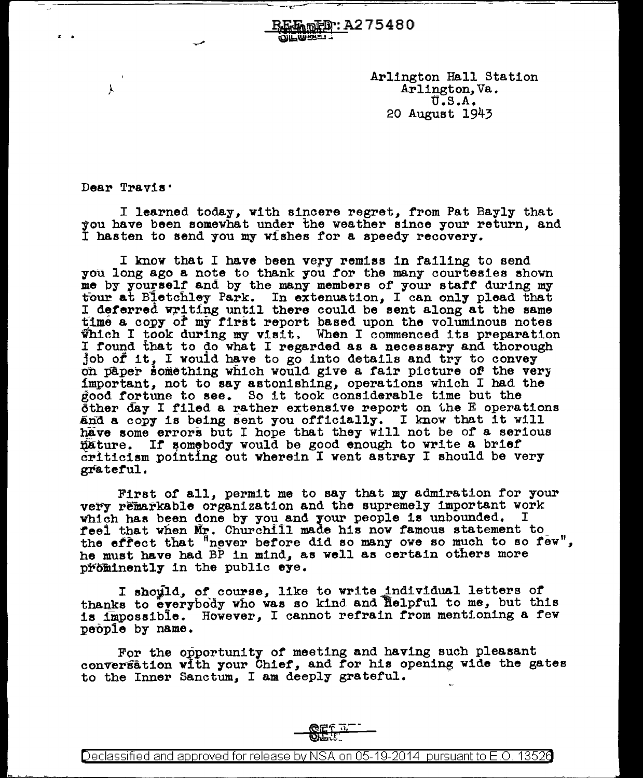Arlington Hall Station Arlington, Va. U.S.A. 20 August 1943

Dear Travis<sup>.</sup>

,l

I learned today, with sincere regret, from Pat Bayly that you have been somewhat under the weather since your return, and I hasten to send you my wishes for a speedy recovery.

**延航应理: A275480** 

I know that I have been very remiss in failing to send you long ago a note to thank you for the many courtesies shown me by yourself and by the many members of your staff during my tour at Bletchley Park. In extenuation, I can only plead that I deferred writing until there could be sent along at the same time a copy of my first report based upon the voluminous notes Which I took during my visit. When I commenced its preparation I found that to do what I regarded as a necessary and thorough job of it, I would have to go into details and try to convey on paper something which would give a fair picture of the very important, not to say astonishing, operations which I had the good fortune to see. So it took considerable time but the other day I filed a rather extensive report on the E operations and a copy is being sent you officially. I know that it will have some errors but I hope that they will not be of a serious l)ature. *If* somebody would be good enough to write a brief  $criticalism$  pointing out wherein I went astray I should be very grateful.

First of all, permit me to say that my admiration for your very remarkable organization and the supremely important work which has been done by you and your people is unbounded. reel that when Mr. ChurchI11 made his now ramous statement to the effect that  $n$  never before did so many owe so much to so few", he must have had BP in mind, as well as certain others more prominently in the public eye.

I should, of course, like to write individual letters of thanks to everybody who was so kind and helpful to me, but this is impossible. However, I cannot refrain from mentioning a few people by name.

For the opportunity of meeting and having such pleasant conversation with your Chief, and for his opening wide the gates to the Inner Sanctum, I am deeply grateful.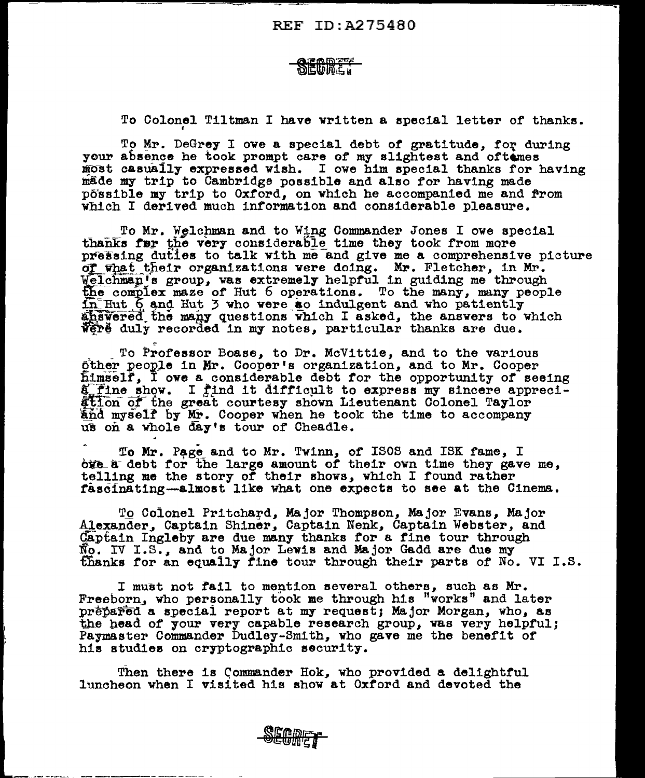## **NEINDER**

To Colonel Tiltman I have written a special letter of thanks.

To Mr. DeGrey I owe a special debt of gratitude, for during your absence he took prompt care of my slightest and oftenes J{OSt casually expressed wish. I owe him special thanks for having made my trip to Cambridge possible and also for having made possible my trip to Oxford, on which he accompanied me and from which I derived much information and considerable pleasure.

To Mr. Welchman and to Wing Commander Jones I owe special thanks further very considerable time they took from more pressing duties to talk with me and give me a comprehensive picture of what their organizations were doing. Mr. Fletcher, in Mr. welchman's group, was extremely helpful in guiding me through the complex maze of Hut 6 operations. To the many, many people in Hut 6 and Hut 3 who were so indulgent and who patiently answered the many questions which I asked, the answers to which weight duly recorded in my notes, particular thanks are due.

To Professor Boase, to Dr. McVittie, and to the various other people in Mr. Cooper's organization, and to Mr. Cooper himself, I owe a considerable debt for the opportunity of seeing a fine show. I find it difficult to express my sincere appreci-<br>ation of the great courtesy shown Lieutenant Colonel Taylor<br>and myself by Mr. Cooper when he took the time to accompany us on a whole day's tour of Cheadle.

To Mr. Page and to Mr. Twinn, of ISOS and ISK fame, I oye\_a debt for the large amount of their own time they gave me. telling me the story of their shows, which I found rather r&scfnating--almost like what one expects to see at the Cinema.

~

To Colonel Pritchard, Major Thompson, Major Evans, Major .<br>Alexander, Captain Shiner, Captain Nenk, Captain Webster, and Captain Ingleby are due many thanks for a fine tour through  $\overline{\text{No}}$ . IV I.S., and to Major Lewis and Major Gadd are due my  $~$ fhanks for an equally fine tour through their parts of No. VI I.S.

I must not fail to mention several others, sucb as Mr. Freeborn, who personally took me through his "works" and later prepared a special report at my request; Major Morgan, who, as<br>the head of your very capable research group, was very helpful; Paymaster Commander Dudley-Smith, who gave me the benefit of hie studies on cryptographic security.

Then there is Commander Hok, who provided a delightful luncheon when I visited his show at Oxford and devoted the